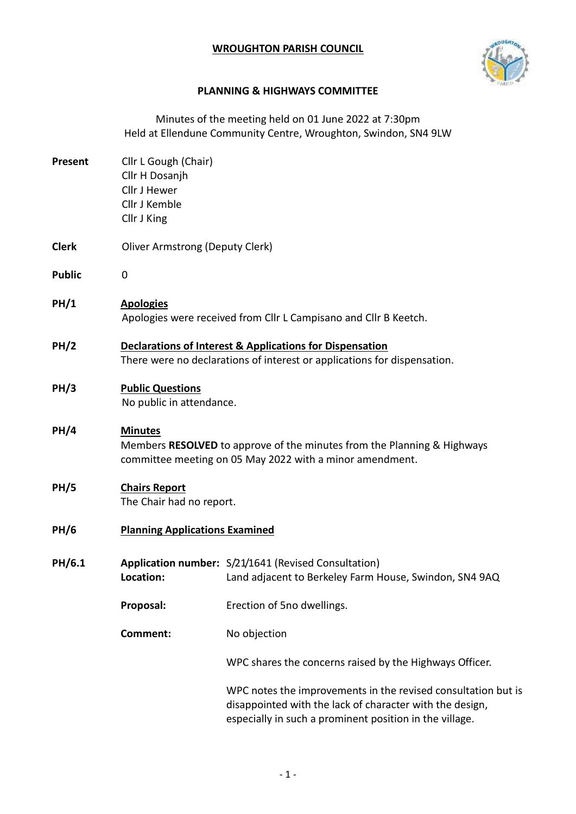## **WROUGHTON PARISH COUNCIL**



## **PLANNING & HIGHWAYS COMMITTEE**

Minutes of the meeting held on 01 June 2022 at 7:30pm Held at Ellendune Community Centre, Wroughton, Swindon, SN4 9LW **Present** Cllr L Gough (Chair) Cllr H Dosanjh Cllr J Hewer Cllr J Kemble Cllr J King **Clerk** Oliver Armstrong (Deputy Clerk) **Public** 0 **PH/1 Apologies** Apologies were received from Cllr L Campisano and Cllr B Keetch. **PH/2 Declarations of Interest & Applications for Dispensation** There were no declarations of interest or applications for dispensation. **PH/3 Public Questions** No public in attendance. **PH/4 Minutes** Members **RESOLVED** to approve of the minutes from the Planning & Highways committee meeting on 05 May 2022 with a minor amendment. **PH/5 Chairs Report** The Chair had no report. **PH/6 Planning Applications Examined PH/6.1 Application number:** S/21/1641 (Revised Consultation) **Location:** Land adjacent to Berkeley Farm House, Swindon, SN4 9AQ **Proposal:** Erection of 5no dwellings. **Comment:** No objection WPC shares the concerns raised by the Highways Officer. WPC notes the improvements in the revised consultation but is disappointed with the lack of character with the design, especially in such a prominent position in the village.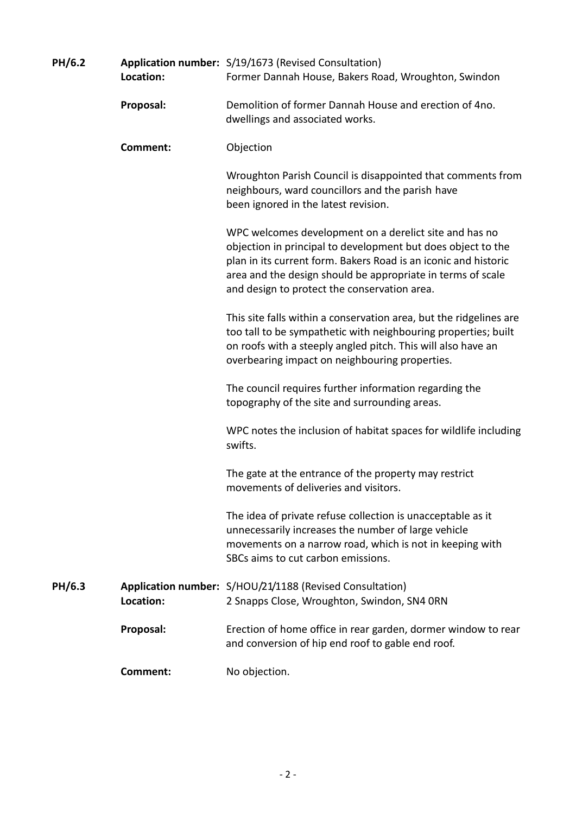| PH/6.2 | Location:       | Application number: S/19/1673 (Revised Consultation)<br>Former Dannah House, Bakers Road, Wroughton, Swindon                                                                                                                                                                                             |
|--------|-----------------|----------------------------------------------------------------------------------------------------------------------------------------------------------------------------------------------------------------------------------------------------------------------------------------------------------|
|        | Proposal:       | Demolition of former Dannah House and erection of 4no.<br>dwellings and associated works.                                                                                                                                                                                                                |
|        | <b>Comment:</b> | Objection                                                                                                                                                                                                                                                                                                |
|        |                 | Wroughton Parish Council is disappointed that comments from<br>neighbours, ward councillors and the parish have<br>been ignored in the latest revision.                                                                                                                                                  |
|        |                 | WPC welcomes development on a derelict site and has no<br>objection in principal to development but does object to the<br>plan in its current form. Bakers Road is an iconic and historic<br>area and the design should be appropriate in terms of scale<br>and design to protect the conservation area. |
|        |                 | This site falls within a conservation area, but the ridgelines are<br>too tall to be sympathetic with neighbouring properties; built<br>on roofs with a steeply angled pitch. This will also have an<br>overbearing impact on neighbouring properties.                                                   |
|        |                 | The council requires further information regarding the<br>topography of the site and surrounding areas.                                                                                                                                                                                                  |
|        |                 | WPC notes the inclusion of habitat spaces for wildlife including<br>swifts.                                                                                                                                                                                                                              |
|        |                 | The gate at the entrance of the property may restrict<br>movements of deliveries and visitors.                                                                                                                                                                                                           |
|        |                 | The idea of private refuse collection is unacceptable as it<br>unnecessarily increases the number of large vehicle<br>movements on a narrow road, which is not in keeping with<br>SBCs aims to cut carbon emissions.                                                                                     |
| PH/6.3 | Location:       | Application number: S/HOU/21/1188 (Revised Consultation)<br>2 Snapps Close, Wroughton, Swindon, SN4 ORN                                                                                                                                                                                                  |
|        | Proposal:       | Erection of home office in rear garden, dormer window to rear<br>and conversion of hip end roof to gable end roof.                                                                                                                                                                                       |
|        | Comment:        | No objection.                                                                                                                                                                                                                                                                                            |